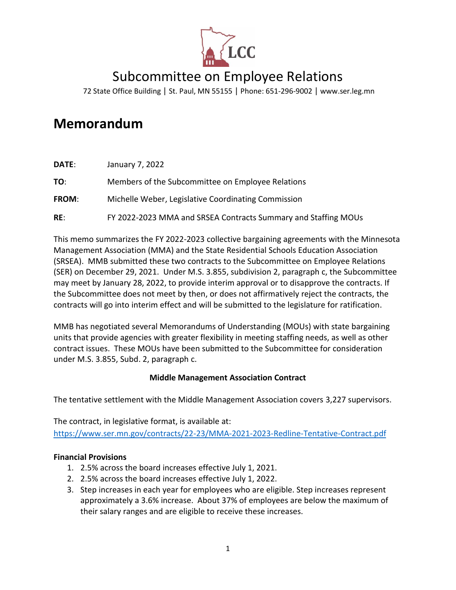

# Subcommittee on Employee Relations

72 State Office Building | St. Paul, MN 55155 | Phone: 651-296-9002 | [www.ser.leg.mn](http://www.ser.leg.mn/)

# **Memorandum**

| <b>DATE:</b> | January 7, 2022                                                |
|--------------|----------------------------------------------------------------|
| TO:          | Members of the Subcommittee on Employee Relations              |
| <b>FROM:</b> | Michelle Weber, Legislative Coordinating Commission            |
| RE:          | FY 2022-2023 MMA and SRSEA Contracts Summary and Staffing MOUs |

This memo summarizes the FY 2022-2023 collective bargaining agreements with the Minnesota Management Association (MMA) and the State Residential Schools Education Association (SRSEA). MMB submitted these two contracts to the Subcommittee on Employee Relations (SER) on December 29, 2021. Under M.S. 3.855, subdivision 2, paragraph c, the Subcommittee may meet by January 28, 2022, to provide interim approval or to disapprove the contracts. If the Subcommittee does not meet by then, or does not affirmatively reject the contracts, the contracts will go into interim effect and will be submitted to the legislature for ratification.

MMB has negotiated several Memorandums of Understanding (MOUs) with state bargaining units that provide agencies with greater flexibility in meeting staffing needs, as well as other contract issues. These MOUs have been submitted to the Subcommittee for consideration under M.S. 3.855, Subd. 2, paragraph c.

## **Middle Management Association Contract**

The tentative settlement with the Middle Management Association covers 3,227 supervisors.

The contract, in legislative format, is available at: <https://www.ser.mn.gov/contracts/22-23/MMA-2021-2023-Redline-Tentative-Contract.pdf>

## **Financial Provisions**

- 1. 2.5% across the board increases effective July 1, 2021.
- 2. 2.5% across the board increases effective July 1, 2022.
- 3. Step increases in each year for employees who are eligible. Step increases represent approximately a 3.6% increase. About 37% of employees are below the maximum of their salary ranges and are eligible to receive these increases.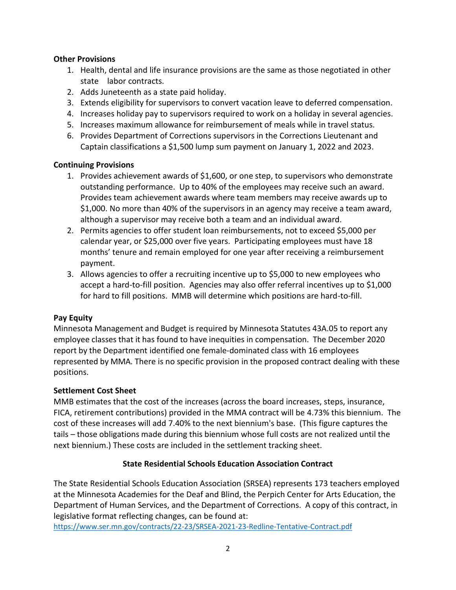## **Other Provisions**

- 1. Health, dental and life insurance provisions are the same as those negotiated in other state labor contracts.
- 2. Adds Juneteenth as a state paid holiday.
- 3. Extends eligibility for supervisors to convert vacation leave to deferred compensation.
- 4. Increases holiday pay to supervisors required to work on a holiday in several agencies.
- 5. Increases maximum allowance for reimbursement of meals while in travel status.
- 6. Provides Department of Corrections supervisors in the Corrections Lieutenant and Captain classifications a \$1,500 lump sum payment on January 1, 2022 and 2023.

## **Continuing Provisions**

- 1. Provides achievement awards of \$1,600, or one step, to supervisors who demonstrate outstanding performance. Up to 40% of the employees may receive such an award. Provides team achievement awards where team members may receive awards up to \$1,000. No more than 40% of the supervisors in an agency may receive a team award, although a supervisor may receive both a team and an individual award.
- 2. Permits agencies to offer student loan reimbursements, not to exceed \$5,000 per calendar year, or \$25,000 over five years. Participating employees must have 18 months' tenure and remain employed for one year after receiving a reimbursement payment.
- 3. Allows agencies to offer a recruiting incentive up to \$5,000 to new employees who accept a hard-to-fill position. Agencies may also offer referral incentives up to \$1,000 for hard to fill positions. MMB will determine which positions are hard-to-fill.

## **Pay Equity**

Minnesota Management and Budget is required by Minnesota Statutes 43A.05 to report any employee classes that it has found to have inequities in compensation. The December 2020 report by the Department identified one female-dominated class with 16 employees represented by MMA. There is no specific provision in the proposed contract dealing with these positions.

## **Settlement Cost Sheet**

MMB estimates that the cost of the increases (across the board increases, steps, insurance, FICA, retirement contributions) provided in the MMA contract will be 4.73% this biennium. The cost of these increases will add 7.40% to the next biennium's base. (This figure captures the tails – those obligations made during this biennium whose full costs are not realized until the next biennium.) These costs are included in the settlement tracking sheet.

## **State Residential Schools Education Association Contract**

The State Residential Schools Education Association (SRSEA) represents 173 teachers employed at the Minnesota Academies for the Deaf and Blind, the Perpich Center for Arts Education, the Department of Human Services, and the Department of Corrections. A copy of this contract, in legislative format reflecting changes, can be found at:

<https://www.ser.mn.gov/contracts/22-23/SRSEA-2021-23-Redline-Tentative-Contract.pdf>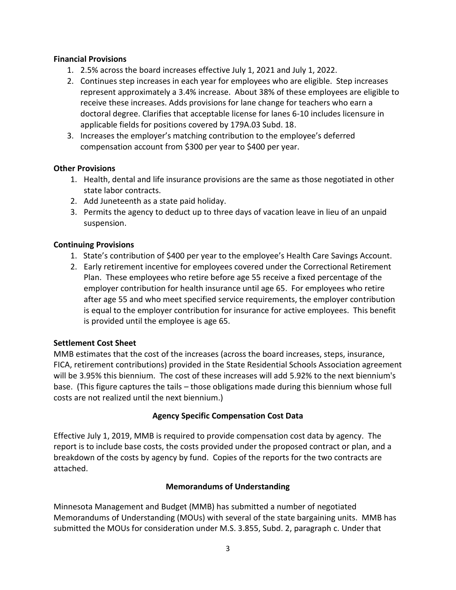### **Financial Provisions**

- 1. 2.5% across the board increases effective July 1, 2021 and July 1, 2022.
- 2. Continues step increases in each year for employees who are eligible. Step increases represent approximately a 3.4% increase. About 38% of these employees are eligible to receive these increases. Adds provisions for lane change for teachers who earn a doctoral degree. Clarifies that acceptable license for lanes 6-10 includes licensure in applicable fields for positions covered by 179A.03 Subd. 18.
- 3. Increases the employer's matching contribution to the employee's deferred compensation account from \$300 per year to \$400 per year.

## **Other Provisions**

- 1. Health, dental and life insurance provisions are the same as those negotiated in other state labor contracts.
- 2. Add Juneteenth as a state paid holiday.
- 3. Permits the agency to deduct up to three days of vacation leave in lieu of an unpaid suspension.

## **Continuing Provisions**

- 1. State's contribution of \$400 per year to the employee's Health Care Savings Account.
- 2. Early retirement incentive for employees covered under the Correctional Retirement Plan. These employees who retire before age 55 receive a fixed percentage of the employer contribution for health insurance until age 65. For employees who retire after age 55 and who meet specified service requirements, the employer contribution is equal to the employer contribution for insurance for active employees. This benefit is provided until the employee is age 65.

#### **Settlement Cost Sheet**

MMB estimates that the cost of the increases (across the board increases, steps, insurance, FICA, retirement contributions) provided in the State Residential Schools Association agreement will be 3.95% this biennium. The cost of these increases will add 5.92% to the next biennium's base. (This figure captures the tails – those obligations made during this biennium whose full costs are not realized until the next biennium.)

## **Agency Specific Compensation Cost Data**

Effective July 1, 2019, MMB is required to provide compensation cost data by agency. The report is to include base costs, the costs provided under the proposed contract or plan, and a breakdown of the costs by agency by fund. Copies of the reports for the two contracts are attached.

#### **Memorandums of Understanding**

Minnesota Management and Budget (MMB) has submitted a number of negotiated Memorandums of Understanding (MOUs) with several of the state bargaining units. MMB has submitted the MOUs for consideration under M.S. 3.855, Subd. 2, paragraph c. Under that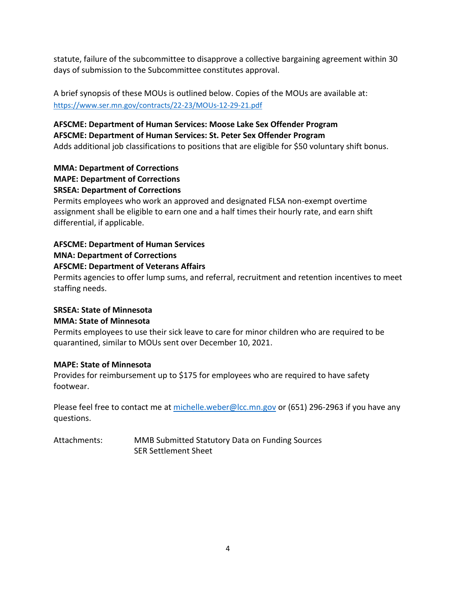statute, failure of the subcommittee to disapprove a collective bargaining agreement within 30 days of submission to the Subcommittee constitutes approval.

A brief synopsis of these MOUs is outlined below. Copies of the MOUs are available at: <https://www.ser.mn.gov/contracts/22-23/MOUs-12-29-21.pdf>

## **AFSCME: Department of Human Services: Moose Lake Sex Offender Program AFSCME: Department of Human Services: St. Peter Sex Offender Program**

Adds additional job classifications to positions that are eligible for \$50 voluntary shift bonus.

## **MMA: Department of Corrections**

## **MAPE: Department of Corrections**

## **SRSEA: Department of Corrections**

Permits employees who work an approved and designated FLSA non-exempt overtime assignment shall be eligible to earn one and a half times their hourly rate, and earn shift differential, if applicable.

## **AFSCME: Department of Human Services MNA: Department of Corrections AFSCME: Department of Veterans Affairs**

Permits agencies to offer lump sums, and referral, recruitment and retention incentives to meet staffing needs.

## **SRSEA: State of Minnesota**

## **MMA: State of Minnesota**

Permits employees to use their sick leave to care for minor children who are required to be quarantined, similar to MOUs sent over December 10, 2021.

## **MAPE: State of Minnesota**

Provides for reimbursement up to \$175 for employees who are required to have safety footwear.

Please feel free to contact me a[t michelle.weber@lcc.mn.gov](mailto:michelle.weber@lcc.mn.gov) or (651) 296-2963 if you have any questions.

## Attachments: MMB Submitted Statutory Data on Funding Sources SER Settlement Sheet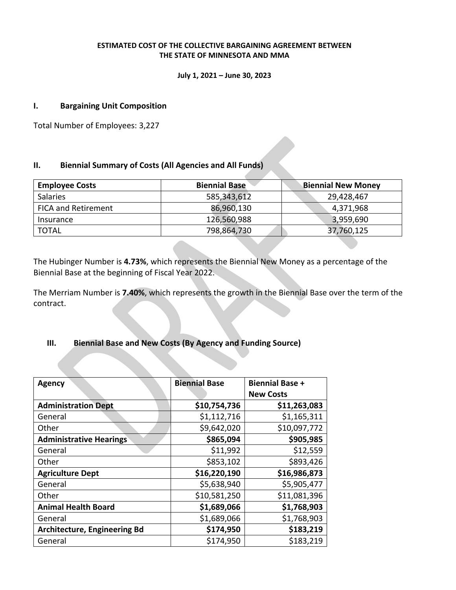#### **ESTIMATED COST OF THE COLLECTIVE BARGAINING AGREEMENT BETWEEN THE STATE OF MINNESOTA AND MMA**

#### **July 1, 2021 – June 30, 2023**

#### **I. Bargaining Unit Composition**

Total Number of Employees: 3,227

## **II. Biennial Summary of Costs (All Agencies and All Funds)**

| <b>Employee Costs</b>      | <b>Biennial Base</b> | <b>Biennial New Money</b> |
|----------------------------|----------------------|---------------------------|
| <b>Salaries</b>            | 585,343,612          | 29,428,467                |
| <b>FICA and Retirement</b> | 86,960,130           | 4,371,968                 |
| Insurance                  | 126,560,988          | 3,959,690                 |
| <b>TOTAL</b>               | 798,864,730          | 37,760,125                |

The Hubinger Number is **4.73%**, which represents the Biennial New Money as a percentage of the Biennial Base at the beginning of Fiscal Year 2022.

The Merriam Number is **7.40%**, which represents the growth in the Biennial Base over the term of the contract.

## **III. Biennial Base and New Costs (By Agency and Funding Source)**

| <b>Agency</b>                       | <b>Biennial Base</b> | <b>Biennial Base +</b> |
|-------------------------------------|----------------------|------------------------|
|                                     |                      | <b>New Costs</b>       |
| <b>Administration Dept</b>          | \$10,754,736         | \$11,263,083           |
| General                             | \$1,112,716          | \$1,165,311            |
| Other                               | \$9,642,020          | \$10,097,772           |
| <b>Administrative Hearings</b>      | \$865,094            | \$905,985              |
| General                             | \$11,992             | \$12,559               |
| Other                               | \$853,102            | \$893,426              |
| <b>Agriculture Dept</b>             | \$16,220,190         | \$16,986,873           |
| General                             | \$5,638,940          | \$5,905,477            |
| Other                               | \$10,581,250         | \$11,081,396           |
| <b>Animal Health Board</b>          | \$1,689,066          | \$1,768,903            |
| General                             | \$1,689,066          | \$1,768,903            |
| <b>Architecture, Engineering Bd</b> | \$174,950            | \$183,219              |
| General                             | \$174,950            | \$183,219              |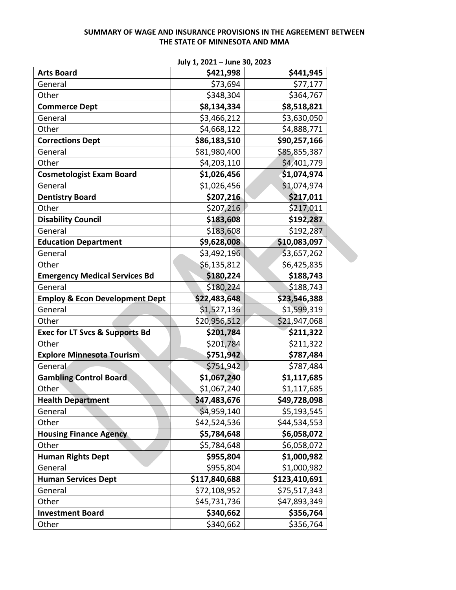| July 1, 2021 - June 30, 2023              |               |               |
|-------------------------------------------|---------------|---------------|
| <b>Arts Board</b>                         | \$421,998     | \$441,945     |
| General                                   | \$73,694      | \$77,177      |
| Other                                     | \$348,304     | \$364,767     |
| <b>Commerce Dept</b>                      | \$8,134,334   | \$8,518,821   |
| General                                   | \$3,466,212   | \$3,630,050   |
| Other                                     | \$4,668,122   | \$4,888,771   |
| <b>Corrections Dept</b>                   | \$86,183,510  | \$90,257,166  |
| General                                   | \$81,980,400  | \$85,855,387  |
| Other                                     | \$4,203,110   | \$4,401,779   |
| <b>Cosmetologist Exam Board</b>           | \$1,026,456   | \$1,074,974   |
| General                                   | \$1,026,456   | \$1,074,974   |
| <b>Dentistry Board</b>                    | \$207,216     | \$217,011     |
| Other                                     | \$207,216     | \$217,011     |
| <b>Disability Council</b>                 | \$183,608     | \$192,287     |
| General                                   | \$183,608     | \$192,287     |
| <b>Education Department</b>               | \$9,628,008   | \$10,083,097  |
| General                                   | \$3,492,196   | \$3,657,262   |
| Other                                     | \$6,135,812   | \$6,425,835   |
| <b>Emergency Medical Services Bd</b>      | \$180,224     | \$188,743     |
| General                                   | \$180,224     | \$188,743     |
| <b>Employ &amp; Econ Development Dept</b> | \$22,483,648  | \$23,546,388  |
| General                                   | \$1,527,136   | \$1,599,319   |
| Other                                     | \$20,956,512  | \$21,947,068  |
| <b>Exec for LT Svcs &amp; Supports Bd</b> | \$201,784     | \$211,322     |
| Other                                     | \$201,784     | \$211,322     |
| <b>Explore Minnesota Tourism</b>          | \$751,942     | \$787,484     |
| General                                   | \$751,942     | \$787,484     |
| <b>Gambling Control Board</b>             | \$1,067,240   | \$1,117,685   |
| Other                                     | \$1,067,240   | \$1,117,685   |
| <b>Health Department</b>                  | \$47,483,676  | \$49,728,098  |
| General                                   | \$4,959,140   | \$5,193,545   |
| Other                                     | \$42,524,536  | \$44,534,553  |
| <b>Housing Finance Agency</b>             | \$5,784,648   | \$6,058,072   |
| Other                                     | \$5,784,648   | \$6,058,072   |
| <b>Human Rights Dept</b>                  | \$955,804     | \$1,000,982   |
| General                                   | \$955,804     | \$1,000,982   |
| <b>Human Services Dept</b>                | \$117,840,688 | \$123,410,691 |
| General                                   | \$72,108,952  | \$75,517,343  |
| Other                                     | \$45,731,736  | \$47,893,349  |
| <b>Investment Board</b>                   | \$340,662     | \$356,764     |
| Other                                     | \$340,662     | \$356,764     |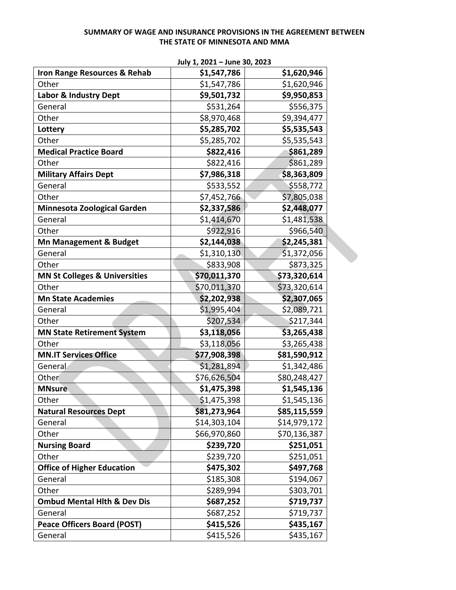| July 1, 2021 - June 30, 2023             |              |              |
|------------------------------------------|--------------|--------------|
| Iron Range Resources & Rehab             | \$1,547,786  | \$1,620,946  |
| Other                                    | \$1,547,786  | \$1,620,946  |
| <b>Labor &amp; Industry Dept</b>         | \$9,501,732  | \$9,950,853  |
| General                                  | \$531,264    | \$556,375    |
| Other                                    | \$8,970,468  | \$9,394,477  |
| Lottery                                  | \$5,285,702  | \$5,535,543  |
| Other                                    | \$5,285,702  | \$5,535,543  |
| <b>Medical Practice Board</b>            | \$822,416    | \$861,289    |
| Other                                    | \$822,416    | \$861,289    |
| <b>Military Affairs Dept</b>             | \$7,986,318  | \$8,363,809  |
| General                                  | \$533,552    | \$558,772    |
| Other                                    | \$7,452,766  | \$7,805,038  |
| <b>Minnesota Zoological Garden</b>       | \$2,337,586  | \$2,448,077  |
| General                                  | \$1,414,670  | \$1,481,538  |
| Other                                    | \$922,916    | \$966,540    |
| <b>Mn Management &amp; Budget</b>        | \$2,144,038  | \$2,245,381  |
| General                                  | \$1,310,130  | \$1,372,056  |
| Other                                    | \$833,908    | \$873,325    |
| <b>MN St Colleges &amp; Universities</b> | \$70,011,370 | \$73,320,614 |
| Other                                    | \$70,011,370 | \$73,320,614 |
| <b>Mn State Academies</b>                | \$2,202,938  | \$2,307,065  |
| General                                  | \$1,995,404  | \$2,089,721  |
| Other                                    | \$207,534    | \$217,344    |
| <b>MN State Retirement System</b>        | \$3,118,056  | \$3,265,438  |
| Other                                    | \$3,118,056  | \$3,265,438  |
| <b>MN.IT Services Office</b>             | \$77,908,398 | \$81,590,912 |
| General                                  | \$1,281,894  | \$1,342,486  |
| Other                                    | \$76,626,504 | \$80,248,427 |
| <b>MNsure</b>                            | \$1,475,398  | \$1,545,136  |
| Other                                    | \$1,475,398  | \$1,545,136  |
| <b>Natural Resources Dept</b>            | \$81,273,964 | \$85,115,559 |
| General                                  | \$14,303,104 | \$14,979,172 |
| Other                                    | \$66,970,860 | \$70,136,387 |
| <b>Nursing Board</b>                     | \$239,720    | \$251,051    |
| Other                                    | \$239,720    | \$251,051    |
| <b>Office of Higher Education</b>        | \$475,302    | \$497,768    |
| General                                  | \$185,308    | \$194,067    |
| Other                                    | \$289,994    | \$303,701    |
| <b>Ombud Mental Hith &amp; Dev Dis</b>   | \$687,252    | \$719,737    |
| General                                  | \$687,252    | \$719,737    |
| <b>Peace Officers Board (POST)</b>       | \$415,526    | \$435,167    |
| General                                  | \$415,526    | \$435,167    |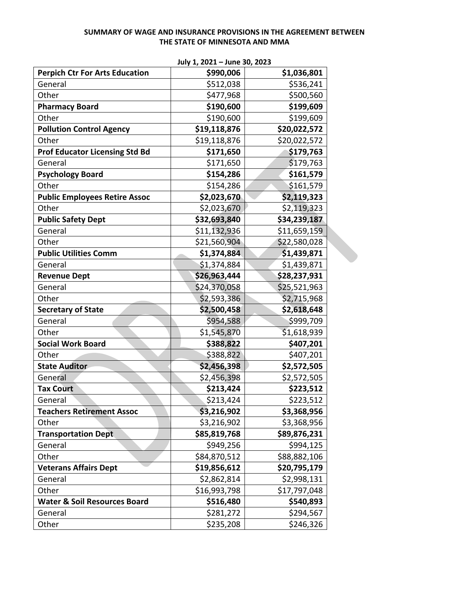|                                         | July 1, 2021 - June 30, 2023 |              |
|-----------------------------------------|------------------------------|--------------|
| <b>Perpich Ctr For Arts Education</b>   | \$990,006                    | \$1,036,801  |
| General                                 | \$512,038                    | \$536,241    |
| Other                                   | \$477,968                    | \$500,560    |
| <b>Pharmacy Board</b>                   | \$190,600                    | \$199,609    |
| Other                                   | \$190,600                    | \$199,609    |
| <b>Pollution Control Agency</b>         | \$19,118,876                 | \$20,022,572 |
| Other                                   | \$19,118,876                 | \$20,022,572 |
| <b>Prof Educator Licensing Std Bd</b>   | \$171,650                    | \$179,763    |
| General                                 | \$171,650                    | \$179,763    |
| <b>Psychology Board</b>                 | \$154,286                    | \$161,579    |
| Other                                   | \$154,286                    | \$161,579    |
| <b>Public Employees Retire Assoc</b>    | \$2,023,670                  | \$2,119,323  |
| Other                                   | \$2,023,670                  | \$2,119,323  |
| <b>Public Safety Dept</b>               | \$32,693,840                 | \$34,239,187 |
| General                                 | \$11,132,936                 | \$11,659,159 |
| Other                                   | \$21,560,904                 | \$22,580,028 |
| <b>Public Utilities Comm</b>            | \$1,374,884                  | \$1,439,871  |
| General                                 | \$1,374,884                  | \$1,439,871  |
| <b>Revenue Dept</b>                     | \$26,963,444                 | \$28,237,931 |
| General                                 | \$24,370,058                 | \$25,521,963 |
| Other                                   | \$2,593,386                  | \$2,715,968  |
| <b>Secretary of State</b>               | \$2,500,458                  | \$2,618,648  |
| General                                 | \$954,588                    | \$999,709    |
| Other                                   | \$1,545,870                  | \$1,618,939  |
| <b>Social Work Board</b>                | \$388,822                    | \$407,201    |
| Other                                   | \$388,822                    | \$407,201    |
| <b>State Auditor</b>                    | \$2,456,398                  | \$2,572,505  |
| General                                 | \$2,456,398                  | \$2,572,505  |
| <b>Tax Court</b>                        | \$213,424                    | \$223,512    |
| General                                 | \$213,424                    | \$223,512    |
| <b>Teachers Retirement Assoc</b>        | \$3,216,902                  | \$3,368,956  |
| Other                                   | \$3,216,902                  | \$3,368,956  |
| <b>Transportation Dept</b>              | \$85,819,768                 | \$89,876,231 |
| General                                 | \$949,256                    | \$994,125    |
| Other                                   | \$84,870,512                 | \$88,882,106 |
| <b>Veterans Affairs Dept</b>            | \$19,856,612                 | \$20,795,179 |
| General                                 | \$2,862,814                  | \$2,998,131  |
| Other                                   | \$16,993,798                 | \$17,797,048 |
| <b>Water &amp; Soil Resources Board</b> | \$516,480                    | \$540,893    |
| General                                 | \$281,272                    | \$294,567    |
| Other                                   | \$235,208                    | \$246,326    |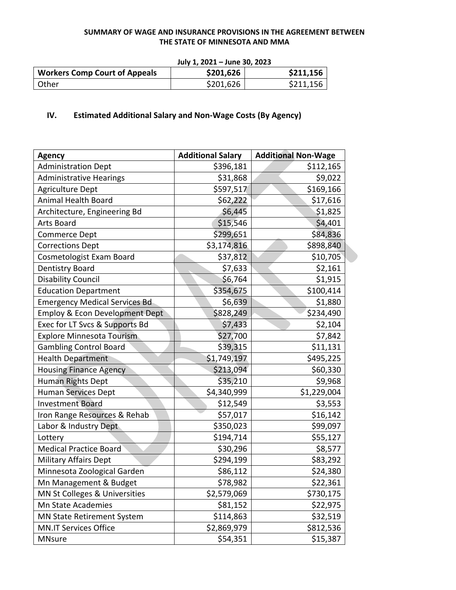|                                      | July 1, 2021 – June 30, 2023 |           |  |
|--------------------------------------|------------------------------|-----------|--|
| <b>Workers Comp Court of Appeals</b> | \$201,626                    | \$211,156 |  |
| Other                                | \$201,626                    | \$211,156 |  |

## **IV. Estimated Additional Salary and Non-Wage Costs (By Agency)**

| <b>Agency</b>                        | <b>Additional Salary</b> | <b>Additional Non-Wage</b> |
|--------------------------------------|--------------------------|----------------------------|
| <b>Administration Dept</b>           | \$396,181                | \$112,165                  |
| <b>Administrative Hearings</b>       | \$31,868                 | \$9,022                    |
| <b>Agriculture Dept</b>              | \$597,517                | \$169,166                  |
| <b>Animal Health Board</b>           | \$62,222                 | \$17,616                   |
| Architecture, Engineering Bd         | \$6,445                  | \$1,825                    |
| <b>Arts Board</b>                    | \$15,546                 | \$4,401                    |
| Commerce Dept                        | \$299,651                | \$84,836                   |
| <b>Corrections Dept</b>              | \$3,174,816              | \$898,840                  |
| Cosmetologist Exam Board             | \$37,812                 | \$10,705                   |
| Dentistry Board                      | \$7,633                  | \$2,161                    |
| <b>Disability Council</b>            | \$6,764                  | \$1,915                    |
| <b>Education Department</b>          | \$354,675                | \$100,414                  |
| <b>Emergency Medical Services Bd</b> | \$6,639                  | \$1,880                    |
| Employ & Econ Development Dept       | \$828,249                | \$234,490                  |
| Exec for LT Svcs & Supports Bd       | \$7,433                  | \$2,104                    |
| <b>Explore Minnesota Tourism</b>     | \$27,700                 | \$7,842                    |
| <b>Gambling Control Board</b>        | \$39,315                 | \$11,131                   |
| <b>Health Department</b>             | \$1,749,197              | \$495,225                  |
| <b>Housing Finance Agency</b>        | \$213,094                | \$60,330                   |
| Human Rights Dept                    | \$35,210                 | \$9,968                    |
| <b>Human Services Dept</b>           | \$4,340,999              | \$1,229,004                |
| <b>Investment Board</b>              | \$12,549                 | \$3,553                    |
| Iron Range Resources & Rehab         | \$57,017                 | \$16,142                   |
| Labor & Industry Dept                | \$350,023                | \$99,097                   |
| Lottery                              | \$194,714                | \$55,127                   |
| <b>Medical Practice Board</b>        | \$30,296                 | \$8,577                    |
| <b>Military Affairs Dept</b>         | \$294,199                | \$83,292                   |
| Minnesota Zoological Garden          | \$86,112                 | \$24,380                   |
| Mn Management & Budget               | \$78,982                 | \$22,361                   |
| MN St Colleges & Universities        | \$2,579,069              | \$730,175                  |
| Mn State Academies                   | \$81,152                 | \$22,975                   |
| <b>MN State Retirement System</b>    | \$114,863                | \$32,519                   |
| <b>MN.IT Services Office</b>         | \$2,869,979              | \$812,536                  |
| <b>MNsure</b>                        | \$54,351                 | \$15,387                   |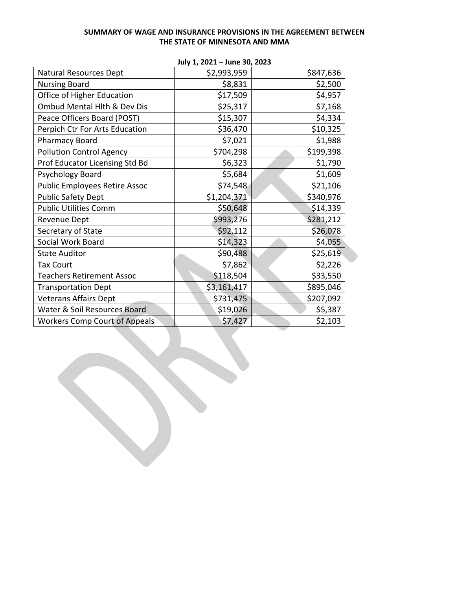| \$2,993,959 | \$847,636                     |
|-------------|-------------------------------|
| \$8,831     | \$2,500                       |
| \$17,509    | \$4,957                       |
| \$25,317    | \$7,168                       |
| \$15,307    | \$4,334                       |
| \$36,470    | \$10,325                      |
| \$7,021     | \$1,988                       |
| \$704,298   | \$199,398                     |
| \$6,323     | \$1,790                       |
| \$5,684     | \$1,609                       |
| \$74,548    | \$21,106                      |
| \$1,204,371 | \$340,976                     |
| \$50,648    | \$14,339                      |
| \$993,276   | \$281,212                     |
| \$92,112    | \$26,078                      |
| \$14,323    | \$4,055                       |
| \$90,488    | \$25,619                      |
| \$7,862     | \$2,226                       |
| \$118,504   | \$33,550                      |
| \$3,161,417 | \$895,046                     |
| \$731,475   | \$207,092                     |
| \$19,026    | \$5,387                       |
| \$7,427     | \$2,103                       |
|             | JUIY 1, ZUZI – JUIIE JU, ZUZJ |

**July 1, 2021 – June 30, 2023**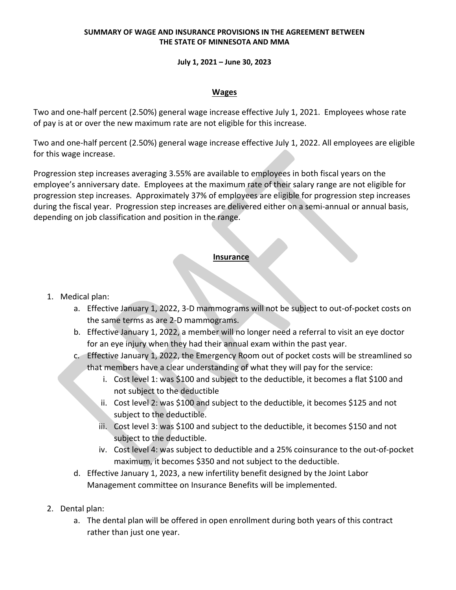#### **July 1, 2021 – June 30, 2023**

### **Wages**

Two and one-half percent (2.50%) general wage increase effective July 1, 2021. Employees whose rate of pay is at or over the new maximum rate are not eligible for this increase.

Two and one-half percent (2.50%) general wage increase effective July 1, 2022. All employees are eligible for this wage increase.

Progression step increases averaging 3.55% are available to employees in both fiscal years on the employee's anniversary date. Employees at the maximum rate of their salary range are not eligible for progression step increases. Approximately 37% of employees are eligible for progression step increases during the fiscal year. Progression step increases are delivered either on a semi-annual or annual basis, depending on job classification and position in the range.

#### **Insurance**

### 1. Medical plan:

- a. Effective January 1, 2022, 3-D mammograms will not be subject to out-of-pocket costs on the same terms as are 2-D mammograms.
- b. Effective January 1, 2022, a member will no longer need a referral to visit an eye doctor for an eye injury when they had their annual exam within the past year.
- c. Effective January 1, 2022, the Emergency Room out of pocket costs will be streamlined so that members have a clear understanding of what they will pay for the service:
	- i. Cost level 1: was \$100 and subject to the deductible, it becomes a flat \$100 and not subject to the deductible
	- ii. Cost level 2: was \$100 and subject to the deductible, it becomes \$125 and not subject to the deductible.
	- iii. Cost level 3: was \$100 and subject to the deductible, it becomes \$150 and not subject to the deductible.
	- iv. Cost level 4: was subject to deductible and a 25% coinsurance to the out-of-pocket maximum, it becomes \$350 and not subject to the deductible.
- d. Effective January 1, 2023, a new infertility benefit designed by the Joint Labor Management committee on Insurance Benefits will be implemented.
- 2. Dental plan:
	- a. The dental plan will be offered in open enrollment during both years of this contract rather than just one year.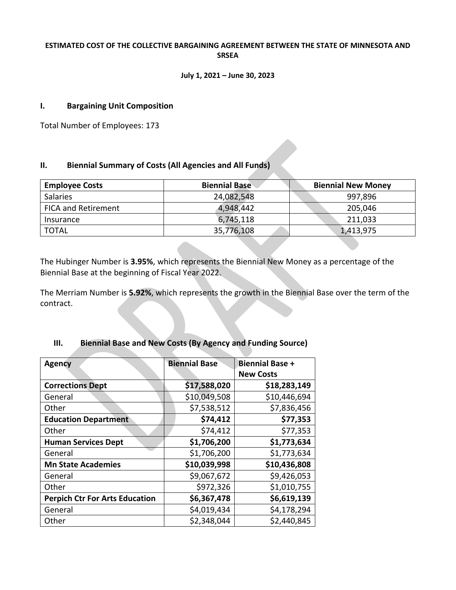#### **ESTIMATED COST OF THE COLLECTIVE BARGAINING AGREEMENT BETWEEN THE STATE OF MINNESOTA AND SRSEA**

#### **July 1, 2021 – June 30, 2023**

#### **I. Bargaining Unit Composition**

Total Number of Employees: 173

## **II. Biennial Summary of Costs (All Agencies and All Funds)**

| <b>Employee Costs</b>      | <b>Biennial Base</b> | <b>Biennial New Money</b> |
|----------------------------|----------------------|---------------------------|
| <b>Salaries</b>            | 24,082,548           | 997,896                   |
| <b>FICA and Retirement</b> | 4,948,442            | 205,046                   |
| Insurance                  | 6,745,118            | 211,033                   |
| TOTAL                      | 35,776,108           | 1,413,975                 |

The Hubinger Number is **3.95%**, which represents the Biennial New Money as a percentage of the Biennial Base at the beginning of Fiscal Year 2022.

The Merriam Number is **5.92%**, which represents the growth in the Biennial Base over the term of the contract.

## **III. Biennial Base and New Costs (By Agency and Funding Source)**

| <b>Agency</b>                         | <b>Biennial Base</b> | <b>Biennial Base +</b> |
|---------------------------------------|----------------------|------------------------|
|                                       |                      | <b>New Costs</b>       |
| <b>Corrections Dept</b>               | \$17,588,020         | \$18,283,149           |
| General                               | \$10,049,508         | \$10,446,694           |
| Other                                 | \$7,538,512          | \$7,836,456            |
| <b>Education Department</b>           | \$74,412             | \$77,353               |
| Other                                 | \$74,412             | \$77,353               |
| <b>Human Services Dept</b>            | \$1,706,200          | \$1,773,634            |
| General                               | \$1,706,200          | \$1,773,634            |
| <b>Mn State Academies</b>             | \$10,039,998         | \$10,436,808           |
| General                               | \$9,067,672          | \$9,426,053            |
| Other                                 | \$972,326            | \$1,010,755            |
| <b>Perpich Ctr For Arts Education</b> | \$6,367,478          | \$6,619,139            |
| General                               | \$4,019,434          | \$4,178,294            |
| Other                                 | \$2,348,044          | \$2,440,845            |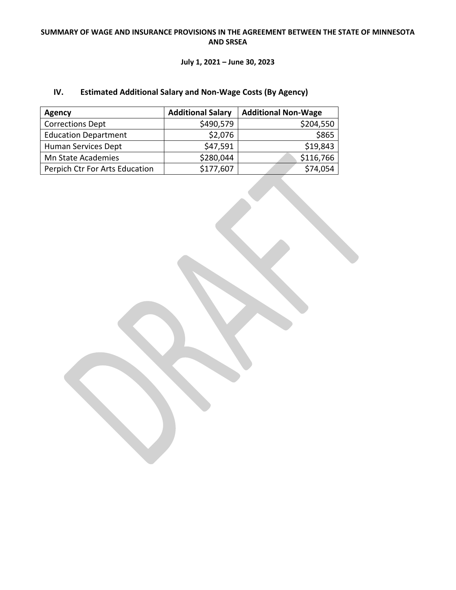## **July 1, 2021 – June 30, 2023**

## **IV. Estimated Additional Salary and Non-Wage Costs (By Agency)**

| <b>Agency</b>                  | <b>Additional Salary</b> | <b>Additional Non-Wage</b> |
|--------------------------------|--------------------------|----------------------------|
| <b>Corrections Dept</b>        | \$490,579                | \$204,550                  |
| <b>Education Department</b>    | \$2,076                  | \$865                      |
| Human Services Dept            | \$47,591                 | \$19,843                   |
| <b>Mn State Academies</b>      | \$280,044                | \$116,766                  |
| Perpich Ctr For Arts Education | \$177,607                | \$74,054                   |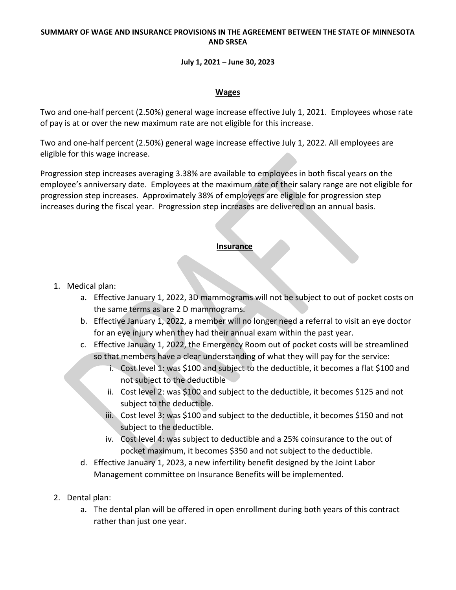#### **July 1, 2021 – June 30, 2023**

#### **Wages**

Two and one-half percent (2.50%) general wage increase effective July 1, 2021. Employees whose rate of pay is at or over the new maximum rate are not eligible for this increase.

Two and one-half percent (2.50%) general wage increase effective July 1, 2022. All employees are eligible for this wage increase.

Progression step increases averaging 3.38% are available to employees in both fiscal years on the employee's anniversary date. Employees at the maximum rate of their salary range are not eligible for progression step increases. Approximately 38% of employees are eligible for progression step increases during the fiscal year. Progression step increases are delivered on an annual basis.

#### **Insurance**

- 1. Medical plan:
	- a. Effective January 1, 2022, 3D mammograms will not be subject to out of pocket costs on the same terms as are 2 D mammograms.
	- b. Effective January 1, 2022, a member will no longer need a referral to visit an eye doctor for an eye injury when they had their annual exam within the past year.
	- c. Effective January 1, 2022, the Emergency Room out of pocket costs will be streamlined so that members have a clear understanding of what they will pay for the service:
		- i. Cost level 1: was \$100 and subject to the deductible, it becomes a flat \$100 and not subject to the deductible
		- ii. Cost level 2: was \$100 and subject to the deductible, it becomes \$125 and not subject to the deductible.
		- iii. Cost level 3: was \$100 and subject to the deductible, it becomes \$150 and not subject to the deductible.
		- iv. Cost level 4: was subject to deductible and a 25% coinsurance to the out of pocket maximum, it becomes \$350 and not subject to the deductible.
	- d. Effective January 1, 2023, a new infertility benefit designed by the Joint Labor Management committee on Insurance Benefits will be implemented.
- 2. Dental plan:
	- a. The dental plan will be offered in open enrollment during both years of this contract rather than just one year.